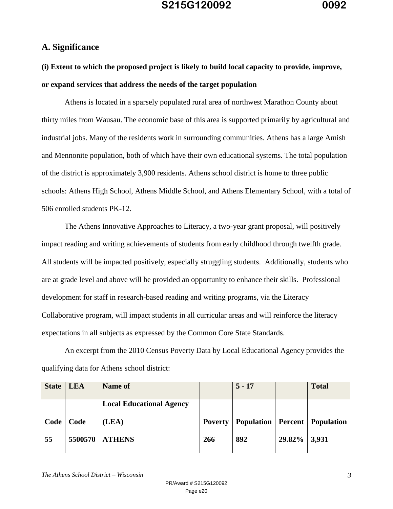#### **A. Significance**

## **(i) Extent to which the proposed project is likely to build local capacity to provide, improve, or expand services that address the needs of the target population**

Athens is located in a sparsely populated rural area of northwest Marathon County about thirty miles from Wausau. The economic base of this area is supported primarily by agricultural and industrial jobs. Many of the residents work in surrounding communities. Athens has a large Amish and Mennonite population, both of which have their own educational systems. The total population of the district is approximately 3,900 residents. Athens school district is home to three public schools: Athens High School, Athens Middle School, and Athens Elementary School, with a total of 506 enrolled students PK-12.

The Athens Innovative Approaches to Literacy, a two-year grant proposal, will positively impact reading and writing achievements of students from early childhood through twelfth grade. All students will be impacted positively, especially struggling students. Additionally, students who are at grade level and above will be provided an opportunity to enhance their skills. Professional development for staff in research-based reading and writing programs, via the Literacy Collaborative program, will impact students in all curricular areas and will reinforce the literacy expectations in all subjects as expressed by the Common Core State Standards.

An excerpt from the 2010 Census Poverty Data by Local Educational Agency provides the qualifying data for Athens school district:

| <b>State</b> | <b>LEA</b> | Name of                         |                | $5 - 17$                                 |        | <b>Total</b> |
|--------------|------------|---------------------------------|----------------|------------------------------------------|--------|--------------|
|              |            | <b>Local Educational Agency</b> |                |                                          |        |              |
| Code   Code  |            | (LEA)                           | <b>Poverty</b> | <b>Population   Percent   Population</b> |        |              |
| 55           | 5500570    | <b>ATHENS</b>                   | 266            | 892                                      | 29.82% | 3,931        |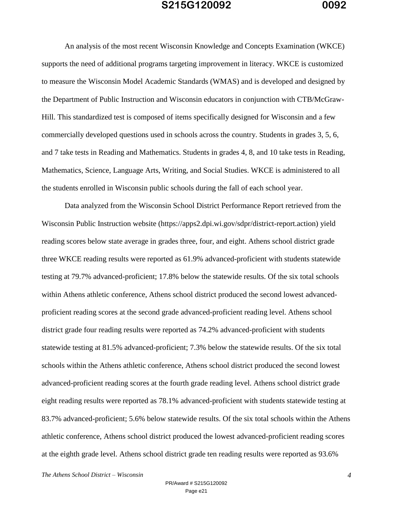An analysis of the most recent Wisconsin Knowledge and Concepts Examination (WKCE) supports the need of additional programs targeting improvement in literacy. WKCE is customized to measure the Wisconsin Model Academic Standards (WMAS) and is developed and designed by the Department of Public Instruction and Wisconsin educators in conjunction with CTB/McGraw-Hill. This standardized test is composed of items specifically designed for Wisconsin and a few commercially developed questions used in schools across the country. Students in grades 3, 5, 6, and 7 take tests in Reading and Mathematics. Students in grades 4, 8, and 10 take tests in Reading, Mathematics, Science, Language Arts, Writing, and Social Studies. WKCE is administered to all the students enrolled in Wisconsin public schools during the fall of each school year.

Data analyzed from the Wisconsin School District Performance Report retrieved from the Wisconsin Public Instruction website (https://apps2.dpi.wi.gov/sdpr/district-report.action) yield reading scores below state average in grades three, four, and eight. Athens school district grade three WKCE reading results were reported as 61.9% advanced-proficient with students statewide testing at 79.7% advanced-proficient; 17.8% below the statewide results. Of the six total schools within Athens athletic conference, Athens school district produced the second lowest advancedproficient reading scores at the second grade advanced-proficient reading level. Athens school district grade four reading results were reported as 74.2% advanced-proficient with students statewide testing at 81.5% advanced-proficient; 7.3% below the statewide results. Of the six total schools within the Athens athletic conference, Athens school district produced the second lowest advanced-proficient reading scores at the fourth grade reading level. Athens school district grade eight reading results were reported as 78.1% advanced-proficient with students statewide testing at 83.7% advanced-proficient; 5.6% below statewide results. Of the six total schools within the Athens athletic conference, Athens school district produced the lowest advanced-proficient reading scores at the eighth grade level. Athens school district grade ten reading results were reported as 93.6%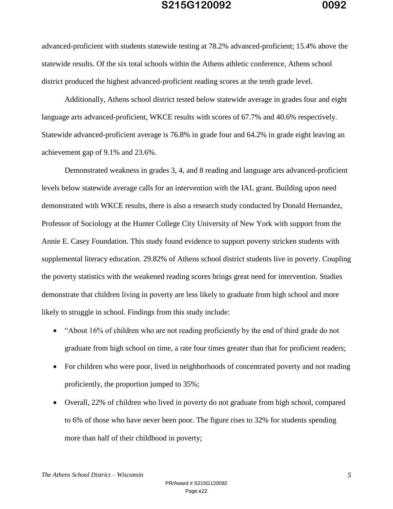advanced-proficient with students statewide testing at 78.2% advanced-proficient; 15.4% above the statewide results. Of the six total schools within the Athens athletic conference, Athens school district produced the highest advanced-proficient reading scores at the tenth grade level.

Additionally, Athens school district tested below statewide average in grades four and eight language arts advanced-proficient, WKCE results with scores of 67.7% and 40.6% respectively. Statewide advanced-proficient average is 76.8% in grade four and 64.2% in grade eight leaving an achievement gap of 9.1% and 23.6%.

Demonstrated weakness in grades 3, 4, and 8 reading and language arts advanced-proficient levels below statewide average calls for an intervention with the IAL grant. Building upon need demonstrated with WKCE results, there is also a research study conducted by Donald Hernandez, Professor of Sociology at the Hunter College City University of New York with support from the Annie E. Casey Foundation. This study found evidence to support poverty stricken students with supplemental literacy education. 29.82% of Athens school district students live in poverty. Coupling the poverty statistics with the weakened reading scores brings great need for intervention. Studies demonstrate that children living in poverty are less likely to graduate from high school and more likely to struggle in school. Findings from this study include:

- "About 16% of children who are not reading proficiently by the end of third grade do not graduate from high school on time, a rate four times greater than that for proficient readers;
- For children who were poor, lived in neighborhoods of concentrated poverty and not reading proficiently, the proportion jumped to 35%;
- Overall, 22% of children who lived in poverty do not graduate from high school, compared to 6% of those who have never been poor. The figure rises to 32% for students spending more than half of their childhood in poverty;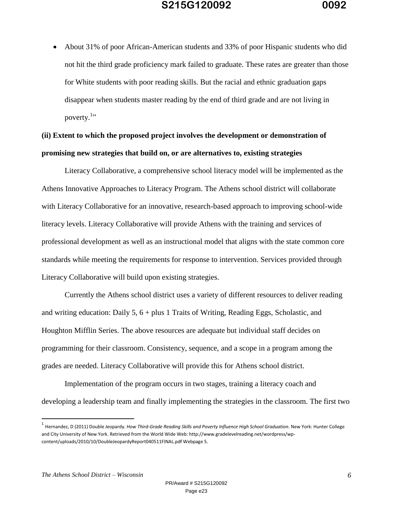About 31% of poor African-American students and 33% of poor Hispanic students who did not hit the third grade proficiency mark failed to graduate. These rates are greater than those for White students with poor reading skills. But the racial and ethnic graduation gaps disappear when students master reading by the end of third grade and are not living in poverty.<sup>1</sup>"

## **(ii) Extent to which the proposed project involves the development or demonstration of promising new strategies that build on, or are alternatives to, existing strategies**

Literacy Collaborative, a comprehensive school literacy model will be implemented as the Athens Innovative Approaches to Literacy Program. The Athens school district will collaborate with Literacy Collaborative for an innovative, research-based approach to improving school-wide literacy levels. Literacy Collaborative will provide Athens with the training and services of professional development as well as an instructional model that aligns with the state common core standards while meeting the requirements for response to intervention. Services provided through Literacy Collaborative will build upon existing strategies.

Currently the Athens school district uses a variety of different resources to deliver reading and writing education: Daily 5, 6 + plus 1 Traits of Writing, Reading Eggs, Scholastic, and Houghton Mifflin Series. The above resources are adequate but individual staff decides on programming for their classroom. Consistency, sequence, and a scope in a program among the grades are needed. Literacy Collaborative will provide this for Athens school district.

Implementation of the program occurs in two stages, training a literacy coach and developing a leadership team and finally implementing the strategies in the classroom. The first two

 $\overline{a}$ 

<sup>1</sup> Hernandez, D (2011) Double Jeopardy. *How Third-Grade Reading Skills and Poverty Influence High School Graduation.* New York: Hunter College and City University of New York. Retrieved from the World Wide Web: http://www.gradelevelreading.net/wordpress/wpcontent/uploads/2010/10/DoubleJeopardyReport040511FINAL.pdf Webpage 5.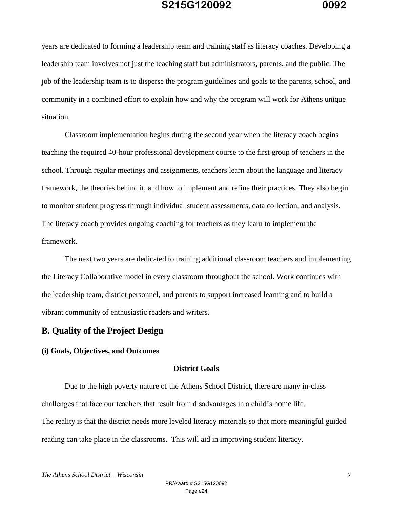years are dedicated to forming a leadership team and training staff as literacy coaches. Developing a leadership team involves not just the teaching staff but administrators, parents, and the public. The job of the leadership team is to disperse the program guidelines and goals to the parents, school, and community in a combined effort to explain how and why the program will work for Athens unique situation.

Classroom implementation begins during the second year when the literacy coach begins teaching the required 40-hour professional development course to the first group of teachers in the school. Through regular meetings and assignments, teachers learn about the language and literacy framework, the theories behind it, and how to implement and refine their practices. They also begin to monitor student progress through individual student assessments, data collection, and analysis. The literacy coach provides ongoing coaching for teachers as they learn to implement the framework.

The next two years are dedicated to training additional classroom teachers and implementing the Literacy Collaborative model in every classroom throughout the school. Work continues with the leadership team, district personnel, and parents to support increased learning and to build a vibrant community of enthusiastic readers and writers.

#### **B. Quality of the Project Design**

#### **(i) Goals, Objectives, and Outcomes**

#### **District Goals**

Due to the high poverty nature of the Athens School District, there are many in-class challenges that face our teachers that result from disadvantages in a child's home life. The reality is that the district needs more leveled literacy materials so that more meaningful guided reading can take place in the classrooms. This will aid in improving student literacy.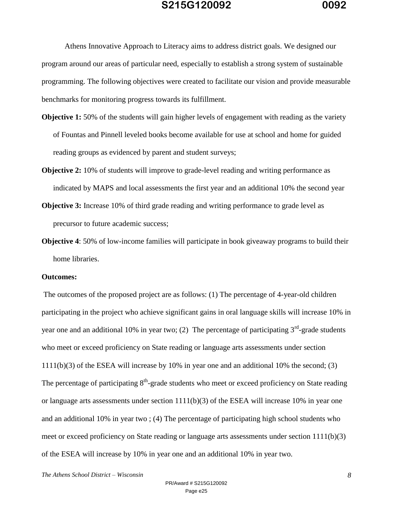Athens Innovative Approach to Literacy aims to address district goals. We designed our program around our areas of particular need, especially to establish a strong system of sustainable programming. The following objectives were created to facilitate our vision and provide measurable benchmarks for monitoring progress towards its fulfillment.

- **Objective 1:** 50% of the students will gain higher levels of engagement with reading as the variety of Fountas and Pinnell leveled books become available for use at school and home for guided reading groups as evidenced by parent and student surveys;
- **Objective 2:** 10% of students will improve to grade-level reading and writing performance as indicated by MAPS and local assessments the first year and an additional 10% the second year
- **Objective 3:** Increase 10% of third grade reading and writing performance to grade level as precursor to future academic success;
- **Objective 4**: 50% of low-income families will participate in book giveaway programs to build their home libraries.

#### **Outcomes:**

The outcomes of the proposed project are as follows: (1) The percentage of 4-year-old children participating in the project who achieve significant gains in oral language skills will increase 10% in year one and an additional 10% in year two; (2) The percentage of participating  $3<sup>rd</sup>$ -grade students who meet or exceed proficiency on State reading or language arts assessments under section 1111(b)(3) of the ESEA will increase by 10% in year one and an additional 10% the second; (3) The percentage of participating  $8<sup>th</sup>$ -grade students who meet or exceed proficiency on State reading or language arts assessments under section 1111(b)(3) of the ESEA will increase 10% in year one and an additional 10% in year two ; (4) The percentage of participating high school students who meet or exceed proficiency on State reading or language arts assessments under section 1111(b)(3) of the ESEA will increase by 10% in year one and an additional 10% in year two.

*The Athens School District – Wisconsin 8*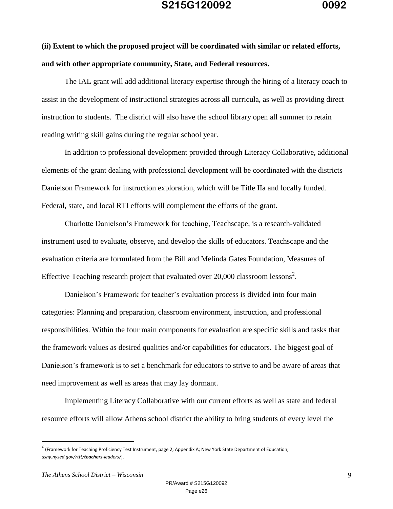## **(ii) Extent to which the proposed project will be coordinated with similar or related efforts, and with other appropriate community, State, and Federal resources.**

The IAL grant will add additional literacy expertise through the hiring of a literacy coach to assist in the development of instructional strategies across all curricula, as well as providing direct instruction to students. The district will also have the school library open all summer to retain reading writing skill gains during the regular school year.

In addition to professional development provided through Literacy Collaborative, additional elements of the grant dealing with professional development will be coordinated with the districts Danielson Framework for instruction exploration, which will be Title IIa and locally funded. Federal, state, and local RTI efforts will complement the efforts of the grant.

Charlotte Danielson's Framework for teaching, Teachscape, is a research-validated instrument used to evaluate, observe, and develop the skills of educators. Teachscape and the evaluation criteria are formulated from the Bill and Melinda Gates Foundation, Measures of Effective Teaching research project that evaluated over 20,000 classroom lessons<sup>2</sup>.

Danielson's Framework for teacher's evaluation process is divided into four main categories: Planning and preparation, classroom environment, instruction, and professional responsibilities. Within the four main components for evaluation are specific skills and tasks that the framework values as desired qualities and/or capabilities for educators. The biggest goal of Danielson's framework is to set a benchmark for educators to strive to and be aware of areas that need improvement as well as areas that may lay dormant.

Implementing Literacy Collaborative with our current efforts as well as state and federal resource efforts will allow Athens school district the ability to bring students of every level the

 $\overline{a}$ 

<sup>&</sup>lt;sup>2</sup> (Framework for Teaching Proficiency Test Instrument, page 2; Appendix A; New York State Department of Education; *usny.nysed.gov/rttt/teachers-leaders/*).

*The Athens School District – Wisconsin 9*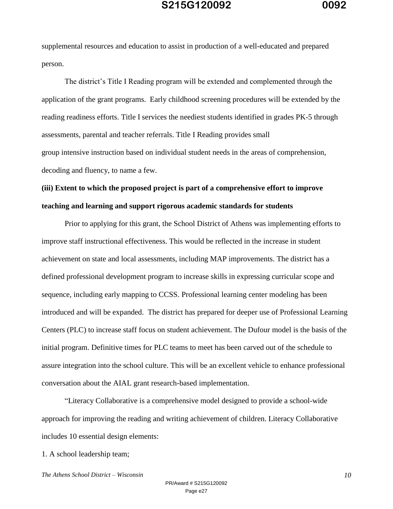supplemental resources and education to assist in production of a well-educated and prepared person.

The district's Title I Reading program will be extended and complemented through the application of the grant programs. Early childhood screening procedures will be extended by the reading readiness efforts. Title I services the neediest students identified in grades PK-5 through assessments, parental and teacher referrals. Title I Reading provides small group intensive instruction based on individual student needs in the areas of comprehension, decoding and fluency, to name a few.

## **(iii) Extent to which the proposed project is part of a comprehensive effort to improve teaching and learning and support rigorous academic standards for students**

Prior to applying for this grant, the School District of Athens was implementing efforts to improve staff instructional effectiveness. This would be reflected in the increase in student achievement on state and local assessments, including MAP improvements. The district has a defined professional development program to increase skills in expressing curricular scope and sequence, including early mapping to CCSS. Professional learning center modeling has been introduced and will be expanded. The district has prepared for deeper use of Professional Learning Centers (PLC) to increase staff focus on student achievement. The Dufour model is the basis of the initial program. Definitive times for PLC teams to meet has been carved out of the schedule to assure integration into the school culture. This will be an excellent vehicle to enhance professional conversation about the AIAL grant research-based implementation.

"Literacy Collaborative is a comprehensive model designed to provide a school-wide approach for improving the reading and writing achievement of children. Literacy Collaborative includes 10 essential design elements:

1. A school leadership team;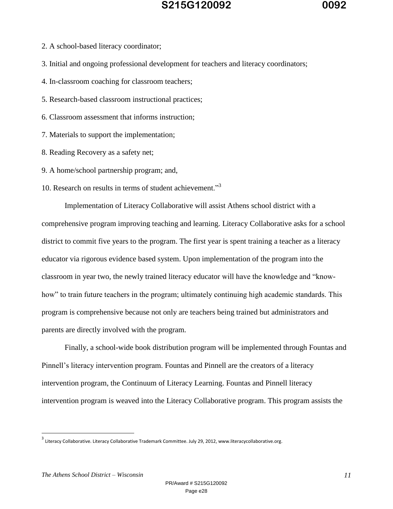2. A school-based literacy coordinator;

3. Initial and ongoing professional development for teachers and literacy coordinators;

4. In-classroom coaching for classroom teachers;

5. Research-based classroom instructional practices;

6. Classroom assessment that informs instruction;

7. Materials to support the implementation;

8. Reading Recovery as a safety net;

9. A home/school partnership program; and,

10. Research on results in terms of student achievement."<sup>3</sup>

Implementation of Literacy Collaborative will assist Athens school district with a comprehensive program improving teaching and learning. Literacy Collaborative asks for a school district to commit five years to the program. The first year is spent training a teacher as a literacy educator via rigorous evidence based system. Upon implementation of the program into the classroom in year two, the newly trained literacy educator will have the knowledge and "knowhow" to train future teachers in the program; ultimately continuing high academic standards. This program is comprehensive because not only are teachers being trained but administrators and parents are directly involved with the program.

Finally, a school-wide book distribution program will be implemented through Fountas and Pinnell's literacy intervention program. Fountas and Pinnell are the creators of a literacy intervention program, the Continuum of Literacy Learning. Fountas and Pinnell literacy intervention program is weaved into the Literacy Collaborative program. This program assists the

 $\overline{a}$ 

<sup>&</sup>lt;sup>3</sup> Literacy Collaborative. Literacy Collaborative Trademark Committee. July 29, 2012, www.literacycollaborative.org.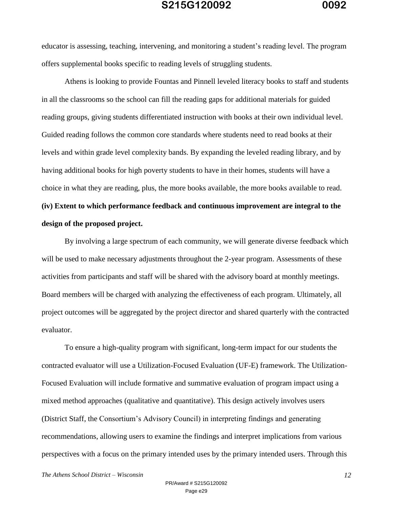educator is assessing, teaching, intervening, and monitoring a student's reading level. The program offers supplemental books specific to reading levels of struggling students.

Athens is looking to provide Fountas and Pinnell leveled literacy books to staff and students in all the classrooms so the school can fill the reading gaps for additional materials for guided reading groups, giving students differentiated instruction with books at their own individual level. Guided reading follows the common core standards where students need to read books at their levels and within grade level complexity bands. By expanding the leveled reading library, and by having additional books for high poverty students to have in their homes, students will have a choice in what they are reading, plus, the more books available, the more books available to read. **(iv) Extent to which performance feedback and continuous improvement are integral to the design of the proposed project.**

By involving a large spectrum of each community, we will generate diverse feedback which will be used to make necessary adjustments throughout the 2-year program. Assessments of these activities from participants and staff will be shared with the advisory board at monthly meetings. Board members will be charged with analyzing the effectiveness of each program. Ultimately, all project outcomes will be aggregated by the project director and shared quarterly with the contracted evaluator.

To ensure a high-quality program with significant, long-term impact for our students the contracted evaluator will use a Utilization-Focused Evaluation (UF-E) framework. The Utilization-Focused Evaluation will include formative and summative evaluation of program impact using a mixed method approaches (qualitative and quantitative). This design actively involves users (District Staff, the Consortium's Advisory Council) in interpreting findings and generating recommendations, allowing users to examine the findings and interpret implications from various perspectives with a focus on the primary intended uses by the primary intended users. Through this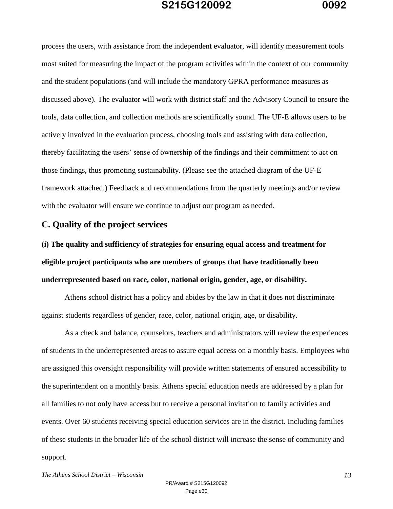process the users, with assistance from the independent evaluator, will identify measurement tools most suited for measuring the impact of the program activities within the context of our community and the student populations (and will include the mandatory GPRA performance measures as discussed above). The evaluator will work with district staff and the Advisory Council to ensure the tools, data collection, and collection methods are scientifically sound. The UF-E allows users to be actively involved in the evaluation process, choosing tools and assisting with data collection, thereby facilitating the users' sense of ownership of the findings and their commitment to act on those findings, thus promoting sustainability. (Please see the attached diagram of the UF-E framework attached.) Feedback and recommendations from the quarterly meetings and/or review with the evaluator will ensure we continue to adjust our program as needed.

#### **C. Quality of the project services**

**(i) The quality and sufficiency of strategies for ensuring equal access and treatment for eligible project participants who are members of groups that have traditionally been underrepresented based on race, color, national origin, gender, age, or disability.**

Athens school district has a policy and abides by the law in that it does not discriminate against students regardless of gender, race, color, national origin, age, or disability.

As a check and balance, counselors, teachers and administrators will review the experiences of students in the underrepresented areas to assure equal access on a monthly basis. Employees who are assigned this oversight responsibility will provide written statements of ensured accessibility to the superintendent on a monthly basis. Athens special education needs are addressed by a plan for all families to not only have access but to receive a personal invitation to family activities and events. Over 60 students receiving special education services are in the district. Including families of these students in the broader life of the school district will increase the sense of community and support.

*The Athens School District – Wisconsin 13*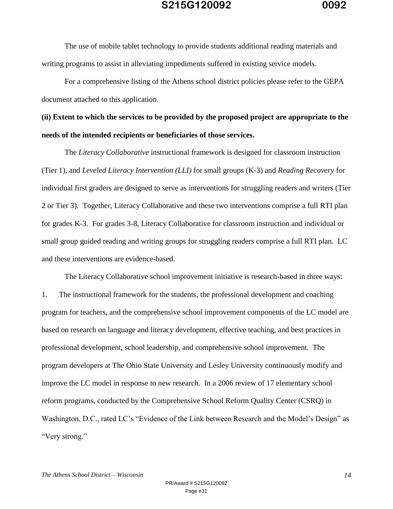The use of mobile tablet technology to provide students additional reading materials and writing programs to assist in alleviating impediments suffered in existing service models.

For a comprehensive listing of the Athens school district policies please refer to the GEPA document attached to this application.

## **(ii) Extent to which the services to be provided by the proposed project are appropriate to the needs of the intended recipients or beneficiaries of those services.**

The *Literacy Collaborative* instructional framework is designed for classroom instruction (Tier 1), and *Leveled Literacy Intervention (LLI)* for small groups (K-3) and *Reading Recovery* for individual first graders are designed to serve as interventions for struggling readers and writers (Tier 2 or Tier 3). Together, Literacy Collaborative and these two interventions comprise a full RTI plan for grades K-3. For grades 3-8, Literacy Collaborative for classroom instruction and individual or small group guided reading and writing groups for struggling readers comprise a full RTI plan. LC and these interventions are evidence-based.

The Literacy Collaborative school improvement initiative is research-based in three ways: 1. The instructional framework for the students, the professional development and coaching program for teachers, and the comprehensive school improvement components of the LC model are based on research on language and literacy development, effective teaching, and best practices in professional development, school leadership, and comprehensive school improvement. The program developers at The Ohio State University and Lesley University continuously modify and improve the LC model in response to new research. In a 2006 review of 17 elementary school reform programs, conducted by the Comprehensive School Reform Quality Center (CSRQ) in Washington, D.C., rated LC's "Evidence of the Link between Research and the Model's Design" as "Very strong."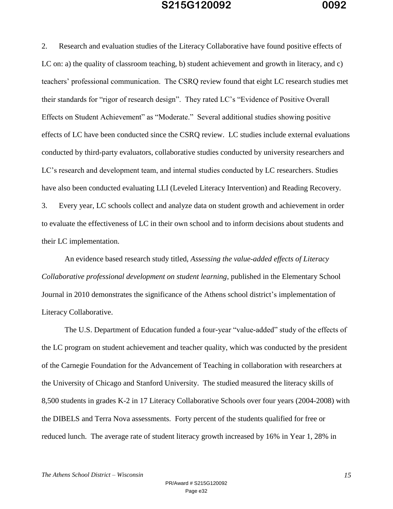2. Research and evaluation studies of the Literacy Collaborative have found positive effects of LC on: a) the quality of classroom teaching, b) student achievement and growth in literacy, and c) teachers' professional communication. The CSRQ review found that eight LC research studies met their standards for "rigor of research design". They rated LC's "Evidence of Positive Overall Effects on Student Achievement" as "Moderate." Several additional studies showing positive effects of LC have been conducted since the CSRQ review. LC studies include external evaluations conducted by third-party evaluators, collaborative studies conducted by university researchers and LC's research and development team, and internal studies conducted by LC researchers. Studies have also been conducted evaluating LLI (Leveled Literacy Intervention) and Reading Recovery. 3. Every year, LC schools collect and analyze data on student growth and achievement in order to evaluate the effectiveness of LC in their own school and to inform decisions about students and their LC implementation.

An evidence based research study titled, *Assessing the value-added effects of Literacy Collaborative professional development on student learning*, published in the Elementary School Journal in 2010 demonstrates the significance of the Athens school district's implementation of Literacy Collaborative.

The U.S. Department of Education funded a four-year "value-added" study of the effects of the LC program on student achievement and teacher quality, which was conducted by the president of the Carnegie Foundation for the Advancement of Teaching in collaboration with researchers at the University of Chicago and Stanford University. The studied measured the literacy skills of 8,500 students in grades K-2 in 17 Literacy Collaborative Schools over four years (2004-2008) with the DIBELS and Terra Nova assessments. Forty percent of the students qualified for free or reduced lunch. The average rate of student literacy growth increased by 16% in Year 1, 28% in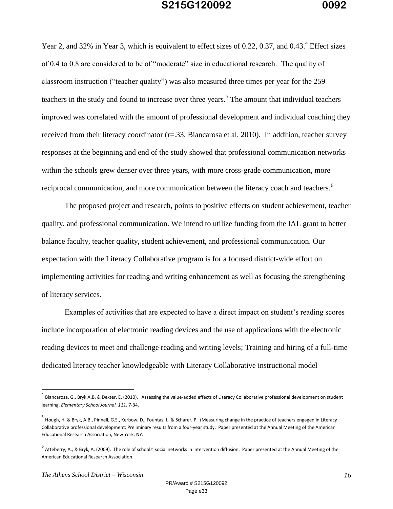Year 2, and 32% in Year 3, which is equivalent to effect sizes of 0.22, 0.37, and 0.43. <sup>4</sup> Effect sizes of 0.4 to 0.8 are considered to be of "moderate" size in educational research. The quality of classroom instruction ("teacher quality") was also measured three times per year for the 259 teachers in the study and found to increase over three years. 5 The amount that individual teachers improved was correlated with the amount of professional development and individual coaching they received from their literacy coordinator (r=.33, Biancarosa et al, 2010). In addition, teacher survey responses at the beginning and end of the study showed that professional communication networks within the schools grew denser over three years, with more cross-grade communication, more reciprocal communication, and more communication between the literacy coach and teachers.<sup>6</sup>

The proposed project and research, points to positive effects on student achievement, teacher quality, and professional communication. We intend to utilize funding from the IAL grant to better balance faculty, teacher quality, student achievement, and professional communication. Our expectation with the Literacy Collaborative program is for a focused district-wide effort on implementing activities for reading and writing enhancement as well as focusing the strengthening of literacy services.

Examples of activities that are expected to have a direct impact on student's reading scores include incorporation of electronic reading devices and the use of applications with the electronic reading devices to meet and challenge reading and writing levels; Training and hiring of a full-time dedicated literacy teacher knowledgeable with Literacy Collaborative instructional model

 $\overline{a}$ 

<sup>&</sup>lt;sup>4</sup> Biancarosa, G., Bryk A.B, & Dexter, E. (2010). Assessing the value-added effects of Literacy Collaborative professional development on student learning. *Elementary School Journal, 111,* 7-34.

<sup>&</sup>lt;sup>5</sup> Hough, H. & Bryk, A.B., Pinnell, G.S., Kerbow, D., Fountas, I., & Scharer, P. (Measuring change in the practice of teachers engaged in Literacy Collaborative professional development: Preliminary results from a four-year study. Paper presented at the Annual Meeting of the American Educational Research Association, New York, NY.

<sup>&</sup>lt;sup>6</sup> Atteberry, A., & Bryk, A. (2009). The role of schools' social networks in intervention diffusion. Paper presented at the Annual Meeting of the American Educational Research Association.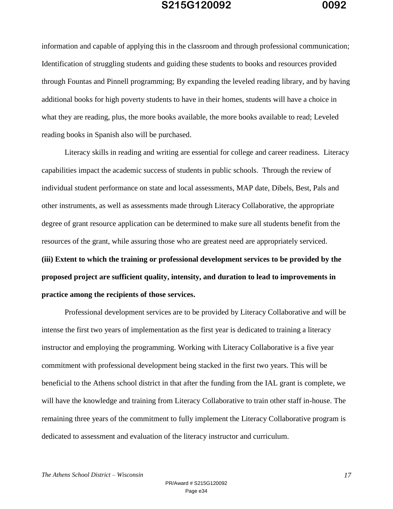information and capable of applying this in the classroom and through professional communication; Identification of struggling students and guiding these students to books and resources provided through Fountas and Pinnell programming; By expanding the leveled reading library, and by having additional books for high poverty students to have in their homes, students will have a choice in what they are reading, plus, the more books available, the more books available to read; Leveled reading books in Spanish also will be purchased.

Literacy skills in reading and writing are essential for college and career readiness. Literacy capabilities impact the academic success of students in public schools. Through the review of individual student performance on state and local assessments, MAP date, Dibels, Best, Pals and other instruments, as well as assessments made through Literacy Collaborative, the appropriate degree of grant resource application can be determined to make sure all students benefit from the resources of the grant, while assuring those who are greatest need are appropriately serviced. **(iii) Extent to which the training or professional development services to be provided by the proposed project are sufficient quality, intensity, and duration to lead to improvements in practice among the recipients of those services.**

Professional development services are to be provided by Literacy Collaborative and will be intense the first two years of implementation as the first year is dedicated to training a literacy instructor and employing the programming. Working with Literacy Collaborative is a five year commitment with professional development being stacked in the first two years. This will be beneficial to the Athens school district in that after the funding from the IAL grant is complete, we will have the knowledge and training from Literacy Collaborative to train other staff in-house. The remaining three years of the commitment to fully implement the Literacy Collaborative program is dedicated to assessment and evaluation of the literacy instructor and curriculum.

*The Athens School District – Wisconsin 17*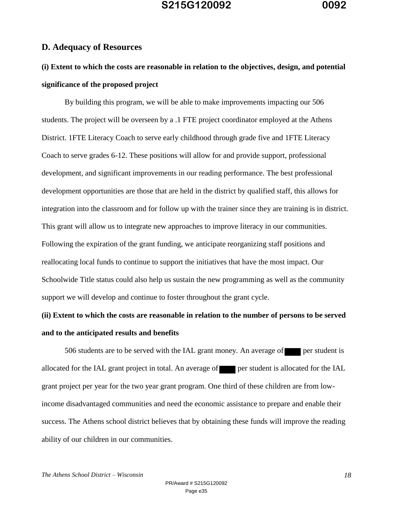#### **D. Adequacy of Resources**

# **(i) Extent to which the costs are reasonable in relation to the objectives, design, and potential significance of the proposed project**

 By building this program, we will be able to make improvements impacting our 506 students. The project will be overseen by a .1 FTE project coordinator employed at the Athens District. 1FTE Literacy Coach to serve early childhood through grade five and 1FTE Literacy Coach to serve grades 6-12. These positions will allow for and provide support, professional development, and significant improvements in our reading performance. The best professional development opportunities are those that are held in the district by qualified staff, this allows for integration into the classroom and for follow up with the trainer since they are training is in district. This grant will allow us to integrate new approaches to improve literacy in our communities. Following the expiration of the grant funding, we anticipate reorganizing staff positions and reallocating local funds to continue to support the initiatives that have the most impact. Our Schoolwide Title status could also help us sustain the new programming as well as the community support we will develop and continue to foster throughout the grant cycle.

## **(ii) Extent to which the costs are reasonable in relation to the number of persons to be served and to the anticipated results and benefits**

506 students are to be served with the IAL grant money. An average of **per student is** allocated for the IAL grant project in total. An average of per student is allocated for the IAL grant project per year for the two year grant program. One third of these children are from lowincome disadvantaged communities and need the economic assistance to prepare and enable their success. The Athens school district believes that by obtaining these funds will improve the reading ability of our children in our communities.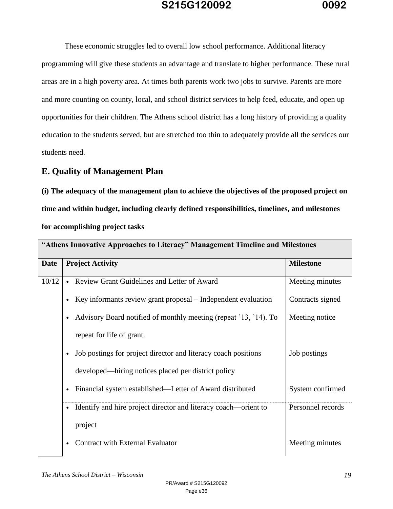These economic struggles led to overall low school performance. Additional literacy programming will give these students an advantage and translate to higher performance. These rural areas are in a high poverty area. At times both parents work two jobs to survive. Parents are more and more counting on county, local, and school district services to help feed, educate, and open up opportunities for their children. The Athens school district has a long history of providing a quality education to the students served, but are stretched too thin to adequately provide all the services our students need.

#### **E. Quality of Management Plan**

**(i) The adequacy of the management plan to achieve the objectives of the proposed project on time and within budget, including clearly defined responsibilities, timelines, and milestones for accomplishing project tasks**

| Athens innovative Approaches to Literacy Management Thneline and Milestones |                                                                  |                   |  |  |  |
|-----------------------------------------------------------------------------|------------------------------------------------------------------|-------------------|--|--|--|
| <b>Date</b>                                                                 | <b>Project Activity</b>                                          | <b>Milestone</b>  |  |  |  |
| 10/12                                                                       | Review Grant Guidelines and Letter of Award                      | Meeting minutes   |  |  |  |
|                                                                             | Key informants review grant proposal – Independent evaluation    | Contracts signed  |  |  |  |
|                                                                             | Advisory Board notified of monthly meeting (repeat '13, '14). To | Meeting notice    |  |  |  |
|                                                                             | repeat for life of grant.                                        |                   |  |  |  |
|                                                                             | Job postings for project director and literacy coach positions   | Job postings      |  |  |  |
|                                                                             | developed—hiring notices placed per district policy              |                   |  |  |  |
|                                                                             | Financial system established—Letter of Award distributed         | System confirmed  |  |  |  |
|                                                                             | Identify and hire project director and literacy coach—orient to  | Personnel records |  |  |  |
|                                                                             | project                                                          |                   |  |  |  |
|                                                                             | <b>Contract with External Evaluator</b>                          | Meeting minutes   |  |  |  |

**"Athens Innovative Approaches to Literacy" Management Timeline and Milestones**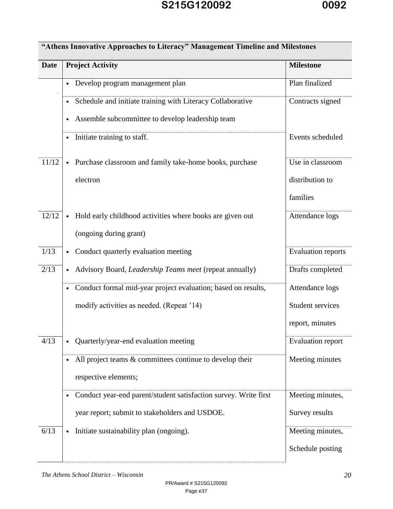|             | "Athens Innovative Approaches to Literacy" Management Timeline and Milestones |                           |
|-------------|-------------------------------------------------------------------------------|---------------------------|
| <b>Date</b> | <b>Project Activity</b>                                                       | <b>Milestone</b>          |
|             | • Develop program management plan                                             | Plan finalized            |
|             | Schedule and initiate training with Literacy Collaborative<br>$\bullet$       | Contracts signed          |
|             | Assemble subcommittee to develop leadership team                              |                           |
|             | Initiate training to staff.<br>$\bullet$                                      | Events scheduled          |
| 11/12       | Purchase classroom and family take-home books, purchase<br>$\bullet$          | Use in classroom          |
|             | electron                                                                      | distribution to           |
|             |                                                                               | families                  |
| 12/12       | • Hold early childhood activities where books are given out                   | Attendance logs           |
|             | (ongoing during grant)                                                        |                           |
| 1/13        | Conduct quarterly evaluation meeting<br>$\bullet$                             | <b>Evaluation reports</b> |
| 2/13        | Advisory Board, Leadership Teams meet (repeat annually)                       | Drafts completed          |
|             | Conduct formal mid-year project evaluation; based on results,<br>$\bullet$    | Attendance logs           |
|             | modify activities as needed. (Repeat '14)                                     | Student services          |
|             |                                                                               | report, minutes           |
| 4/13        | Quarterly/year-end evaluation meeting                                         | <b>Evaluation report</b>  |
|             | All project teams & committees continue to develop their                      | Meeting minutes           |
|             | respective elements;                                                          |                           |
|             | Conduct year-end parent/student satisfaction survey. Write first<br>$\bullet$ | Meeting minutes,          |
|             | year report; submit to stakeholders and USDOE.                                | Survey results            |
| 6/13        | Initiate sustainability plan (ongoing).                                       | Meeting minutes,          |
|             |                                                                               | Schedule posting          |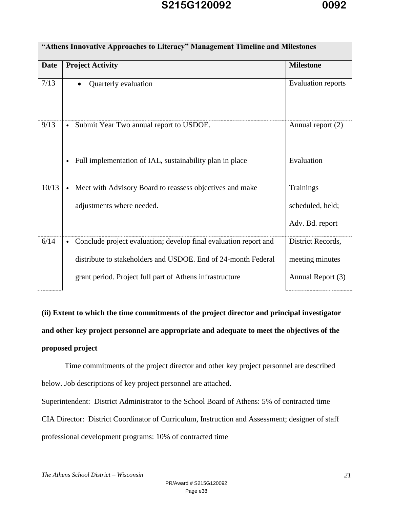| "Athens Innovative Approaches to Literacy" Management Timeline and Milestones |                                                                               |                           |  |  |
|-------------------------------------------------------------------------------|-------------------------------------------------------------------------------|---------------------------|--|--|
| <b>Date</b>                                                                   | <b>Project Activity</b>                                                       | <b>Milestone</b>          |  |  |
| 7/13                                                                          | Quarterly evaluation                                                          | <b>Evaluation reports</b> |  |  |
| 9/13                                                                          | Submit Year Two annual report to USDOE.                                       | Annual report (2)         |  |  |
|                                                                               | Full implementation of IAL, sustainability plan in place<br>$\bullet$         | Evaluation                |  |  |
| 10/13                                                                         | Meet with Advisory Board to reassess objectives and make<br>$\bullet$         | Trainings                 |  |  |
|                                                                               | adjustments where needed.                                                     | scheduled, held;          |  |  |
|                                                                               |                                                                               | Adv. Bd. report           |  |  |
| 6/14                                                                          | Conclude project evaluation; develop final evaluation report and<br>$\bullet$ | District Records,         |  |  |
|                                                                               | distribute to stakeholders and USDOE. End of 24-month Federal                 | meeting minutes           |  |  |
|                                                                               | grant period. Project full part of Athens infrastructure                      | Annual Report (3)         |  |  |

# **(ii) Extent to which the time commitments of the project director and principal investigator and other key project personnel are appropriate and adequate to meet the objectives of the proposed project**

Time commitments of the project director and other key project personnel are described below. Job descriptions of key project personnel are attached.

Superintendent: District Administrator to the School Board of Athens: 5% of contracted time CIA Director: District Coordinator of Curriculum, Instruction and Assessment; designer of staff professional development programs: 10% of contracted time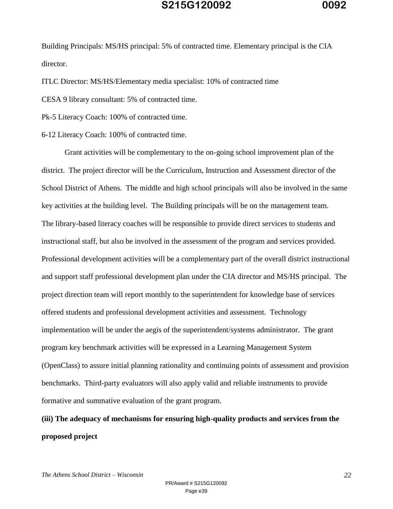Building Principals: MS/HS principal: 5% of contracted time. Elementary principal is the CIA director.

ITLC Director: MS/HS/Elementary media specialist: 10% of contracted time

CESA 9 library consultant: 5% of contracted time.

Pk-5 Literacy Coach: 100% of contracted time.

6-12 Literacy Coach: 100% of contracted time.

Grant activities will be complementary to the on-going school improvement plan of the district. The project director will be the Curriculum, Instruction and Assessment director of the School District of Athens. The middle and high school principals will also be involved in the same key activities at the building level. The Building principals will be on the management team. The library-based literacy coaches will be responsible to provide direct services to students and instructional staff, but also be involved in the assessment of the program and services provided. Professional development activities will be a complementary part of the overall district instructional and support staff professional development plan under the CIA director and MS/HS principal. The project direction team will report monthly to the superintendent for knowledge base of services offered students and professional development activities and assessment. Technology implementation will be under the aegis of the superintendent/systems administrator. The grant program key benchmark activities will be expressed in a Learning Management System (OpenClass) to assure initial planning rationality and continuing points of assessment and provision benchmarks. Third-party evaluators will also apply valid and reliable instruments to provide formative and summative evaluation of the grant program.

**(iii) The adequacy of mechanisms for ensuring high-quality products and services from the proposed project**

*The Athens School District – Wisconsin 22*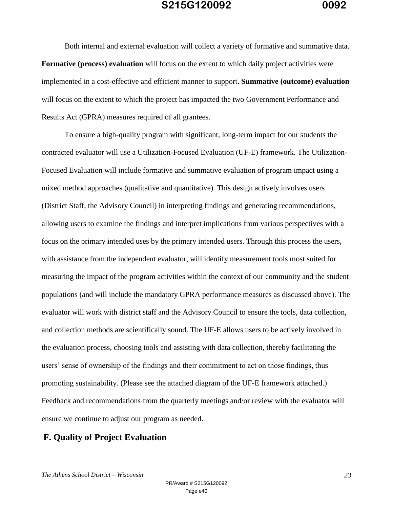Both internal and external evaluation will collect a variety of formative and summative data. **Formative (process) evaluation** will focus on the extent to which daily project activities were implemented in a cost-effective and efficient manner to support. **Summative (outcome) evaluation** will focus on the extent to which the project has impacted the two Government Performance and Results Act (GPRA) measures required of all grantees.

To ensure a high-quality program with significant, long-term impact for our students the contracted evaluator will use a Utilization-Focused Evaluation (UF-E) framework. The Utilization-Focused Evaluation will include formative and summative evaluation of program impact using a mixed method approaches (qualitative and quantitative). This design actively involves users (District Staff, the Advisory Council) in interpreting findings and generating recommendations, allowing users to examine the findings and interpret implications from various perspectives with a focus on the primary intended uses by the primary intended users. Through this process the users, with assistance from the independent evaluator, will identify measurement tools most suited for measuring the impact of the program activities within the context of our community and the student populations (and will include the mandatory GPRA performance measures as discussed above). The evaluator will work with district staff and the Advisory Council to ensure the tools, data collection, and collection methods are scientifically sound. The UF-E allows users to be actively involved in the evaluation process, choosing tools and assisting with data collection, thereby facilitating the users' sense of ownership of the findings and their commitment to act on those findings, thus promoting sustainability. (Please see the attached diagram of the UF-E framework attached.) Feedback and recommendations from the quarterly meetings and/or review with the evaluator will ensure we continue to adjust our program as needed.

#### **F. Quality of Project Evaluation**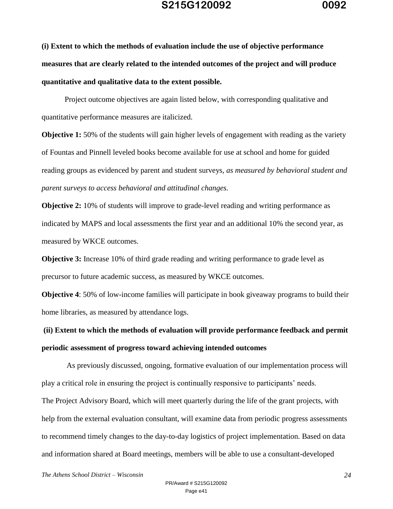**(i) Extent to which the methods of evaluation include the use of objective performance measures that are clearly related to the intended outcomes of the project and will produce quantitative and qualitative data to the extent possible.**

Project outcome objectives are again listed below, with corresponding qualitative and quantitative performance measures are italicized.

**Objective 1:** 50% of the students will gain higher levels of engagement with reading as the variety of Fountas and Pinnell leveled books become available for use at school and home for guided reading groups as evidenced by parent and student surveys, *as measured by behavioral student and parent surveys to access behavioral and attitudinal changes.*

**Objective 2:** 10% of students will improve to grade-level reading and writing performance as indicated by MAPS and local assessments the first year and an additional 10% the second year, as measured by WKCE outcomes.

**Objective 3:** Increase 10% of third grade reading and writing performance to grade level as precursor to future academic success, as measured by WKCE outcomes.

**Objective 4**: 50% of low-income families will participate in book giveaway programs to build their home libraries, as measured by attendance logs.

**(ii) Extent to which the methods of evaluation will provide performance feedback and permit periodic assessment of progress toward achieving intended outcomes**

As previously discussed, ongoing, formative evaluation of our implementation process will play a critical role in ensuring the project is continually responsive to participants' needs. The Project Advisory Board, which will meet quarterly during the life of the grant projects, with help from the external evaluation consultant, will examine data from periodic progress assessments to recommend timely changes to the day-to-day logistics of project implementation. Based on data and information shared at Board meetings, members will be able to use a consultant-developed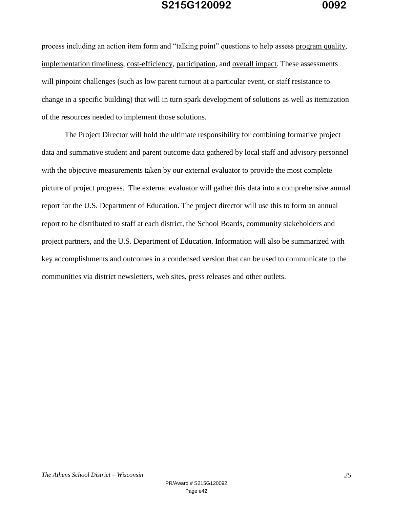process including an action item form and "talking point" questions to help assess program quality, implementation timeliness, cost-efficiency, participation, and overall impact. These assessments will pinpoint challenges (such as low parent turnout at a particular event, or staff resistance to change in a specific building) that will in turn spark development of solutions as well as itemization of the resources needed to implement those solutions.

The Project Director will hold the ultimate responsibility for combining formative project data and summative student and parent outcome data gathered by local staff and advisory personnel with the objective measurements taken by our external evaluator to provide the most complete picture of project progress. The external evaluator will gather this data into a comprehensive annual report for the U.S. Department of Education. The project director will use this to form an annual report to be distributed to staff at each district, the School Boards, community stakeholders and project partners, and the U.S. Department of Education. Information will also be summarized with key accomplishments and outcomes in a condensed version that can be used to communicate to the communities via district newsletters, web sites, press releases and other outlets.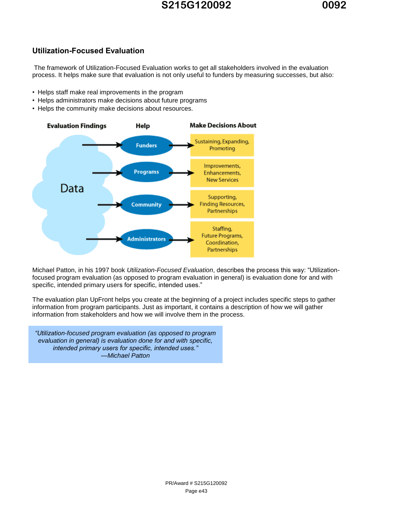#### **Utilization-Focused Evaluation**

The framework of Utilization-Focused Evaluation works to get all stakeholders involved in the evaluation process. It helps make sure that evaluation is not only useful to funders by measuring successes, but also:

- Helps staff make real improvements in the program
- Helps administrators make decisions about future programs
- Helps the community make decisions about resources.



Michael Patton, in his 1997 book *Utilization-Focused Evaluation*, describes the process this way: "Utilizationfocused program evaluation (as opposed to program evaluation in general) is evaluation done for and with specific, intended primary users for specific, intended uses."

The evaluation plan UpFront helps you create at the beginning of a project includes specific steps to gather information from program participants. Just as important, it contains a description of how we will gather information from stakeholders and how we will involve them in the process.

*"Utilization-focused program evaluation (as opposed to program evaluation in general) is evaluation done for and with specific, intended primary users for specific, intended uses." —Michael Patton*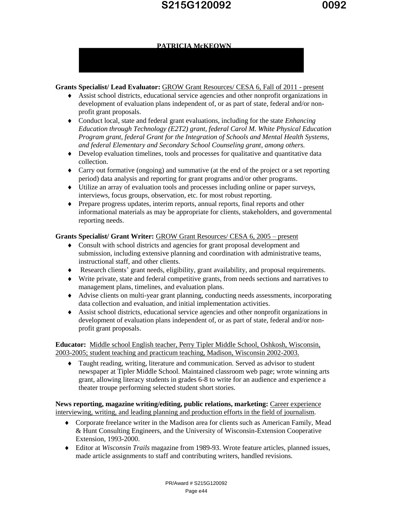#### **PATRICIA McKEOWN**

#### **Grants Specialist/ Lead Evaluator:** GROW Grant Resources/ CESA 6, Fall of 2011 - present

- Assist school districts, educational service agencies and other nonprofit organizations in development of evaluation plans independent of, or as part of state, federal and/or nonprofit grant proposals.
- Conduct local, state and federal grant evaluations, including for the state *Enhancing Education through Technology (E2T2) grant, federal Carol M. White Physical Education Program grant, federal Grant for the Integration of Schools and Mental Health Systems, and federal Elementary and Secondary School Counseling grant, among others.*
- Develop evaluation timelines, tools and processes for qualitative and quantitative data collection.
- Carry out formative (ongoing) and summative (at the end of the project or a set reporting period) data analysis and reporting for grant programs and/or other programs.
- Utilize an array of evaluation tools and processes including online or paper surveys, interviews, focus groups, observation, etc. for most robust reporting.
- Prepare progress updates, interim reports, annual reports, final reports and other informational materials as may be appropriate for clients, stakeholders, and governmental reporting needs.

#### **Grants Specialist/ Grant Writer:** GROW Grant Resources/ CESA 6, 2005 – present

- Consult with school districts and agencies for grant proposal development and submission, including extensive planning and coordination with administrative teams, instructional staff, and other clients.
- Research clients' grant needs, eligibility, grant availability, and proposal requirements.
- Write private, state and federal competitive grants, from needs sections and narratives to management plans, timelines, and evaluation plans.
- Advise clients on multi-year grant planning, conducting needs assessments, incorporating data collection and evaluation, and initial implementation activities.
- Assist school districts, educational service agencies and other nonprofit organizations in development of evaluation plans independent of, or as part of state, federal and/or nonprofit grant proposals.

**Educator:** Middle school English teacher, Perry Tipler Middle School, Oshkosh, Wisconsin, 2003-2005; student teaching and practicum teaching, Madison, Wisconsin 2002-2003.

 Taught reading, writing, literature and communication. Served as advisor to student newspaper at Tipler Middle School. Maintained classroom web page; wrote winning arts grant, allowing literacy students in grades 6-8 to write for an audience and experience a theater troupe performing selected student short stories.

**News reporting, magazine writing/editing, public relations, marketing:** Career experience interviewing, writing, and leading planning and production efforts in the field of journalism.

- Corporate freelance writer in the Madison area for clients such as American Family, Mead & Hunt Consulting Engineers, and the University of Wisconsin-Extension Cooperative Extension, 1993-2000.
- Editor at *Wisconsin Trails* magazine from 1989-93. Wrote feature articles, planned issues, made article assignments to staff and contributing writers, handled revisions.